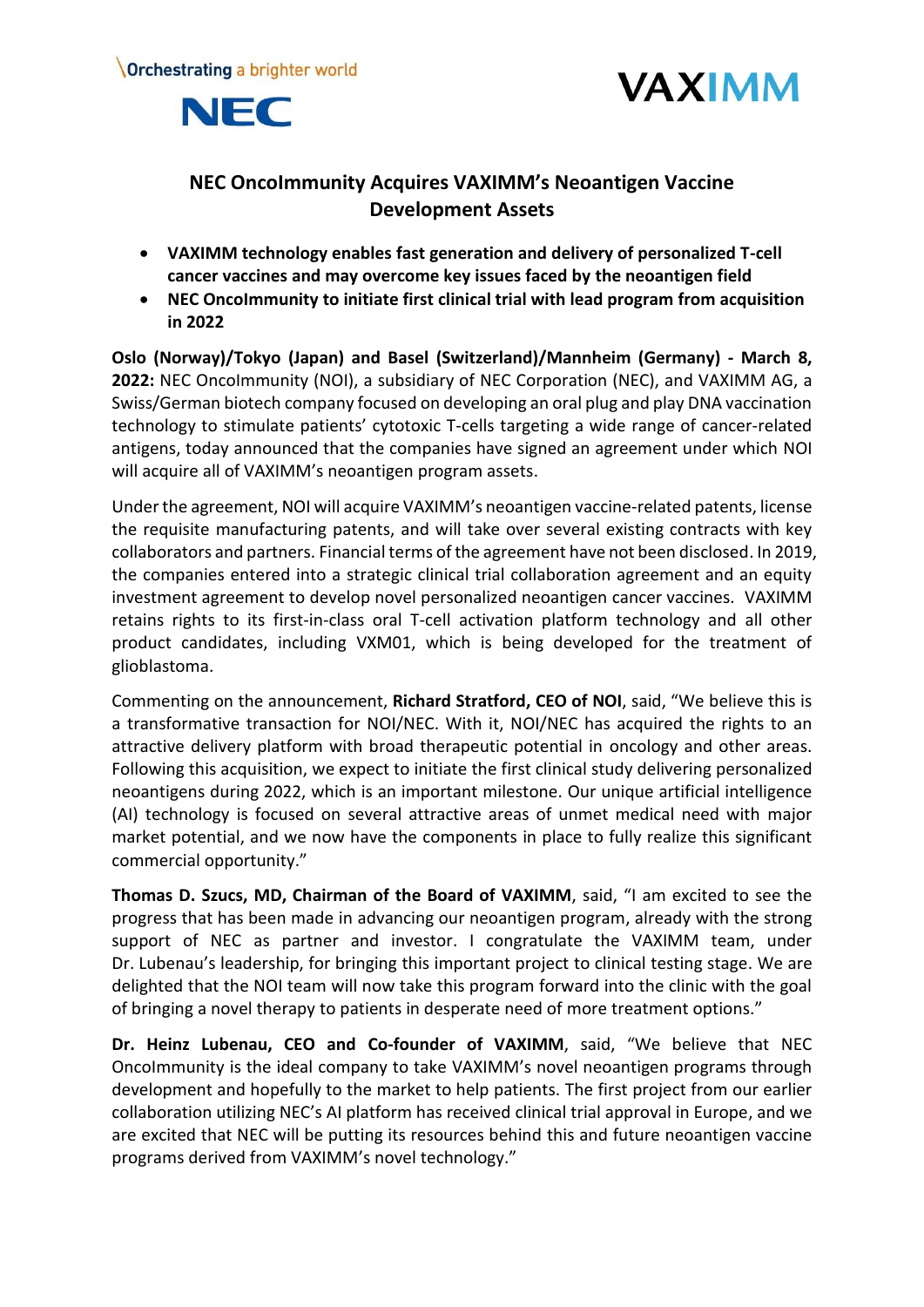





# **NEC OncoImmunity Acquires VAXIMM's Neoantigen Vaccine Development Assets**

- **VAXIMM technology enables fast generation and delivery of personalized T-cell cancer vaccines and may overcome key issues faced by the neoantigen field**
- **NEC OncoImmunity to initiate first clinical trial with lead program from acquisition in 2022**

**Oslo (Norway)/Tokyo (Japan) and Basel (Switzerland)/Mannheim (Germany) - March 8, 2022:** NEC OncoImmunity (NOI), a subsidiary of NEC Corporation (NEC), and VAXIMM AG, a Swiss/German biotech company focused on developing an oral plug and play DNA vaccination technology to stimulate patients' cytotoxic T-cells targeting a wide range of cancer-related antigens, today announced that the companies have signed an agreement under which NOI will acquire all of VAXIMM's neoantigen program assets.

Under the agreement, NOI will acquire VAXIMM's neoantigen vaccine-related patents, license the requisite manufacturing patents, and will take over several existing contracts with key collaborators and partners. Financial terms of the agreement have not been disclosed. In 2019, the companies entered into a strategic clinical trial collaboration agreement and an equity investment agreement to develop novel personalized neoantigen cancer vaccines. VAXIMM retains rights to its first-in-class oral T-cell activation platform technology and all other product candidates, including VXM01, which is being developed for the treatment of glioblastoma.

Commenting on the announcement, **Richard Stratford, CEO of NOI**, said, "We believe this is a transformative transaction for NOI/NEC. With it, NOI/NEC has acquired the rights to an attractive delivery platform with broad therapeutic potential in oncology and other areas. Following this acquisition, we expect to initiate the first clinical study delivering personalized neoantigens during 2022, which is an important milestone. Our unique artificial intelligence (AI) technology is focused on several attractive areas of unmet medical need with major market potential, and we now have the components in place to fully realize this significant commercial opportunity."

**Thomas D. Szucs, MD, Chairman of the Board of VAXIMM**, said, "I am excited to see the progress that has been made in advancing our neoantigen program, already with the strong support of NEC as partner and investor. I congratulate the VAXIMM team, under Dr. Lubenau's leadership, for bringing this important project to clinical testing stage. We are delighted that the NOI team will now take this program forward into the clinic with the goal of bringing a novel therapy to patients in desperate need of more treatment options."

**Dr. Heinz Lubenau, CEO and Co-founder of VAXIMM**, said, "We believe that NEC OncoImmunity is the ideal company to take VAXIMM's novel neoantigen programs through development and hopefully to the market to help patients. The first project from our earlier collaboration utilizing NEC's AI platform has received clinical trial approval in Europe, and we are excited that NEC will be putting its resources behind this and future neoantigen vaccine programs derived from VAXIMM's novel technology."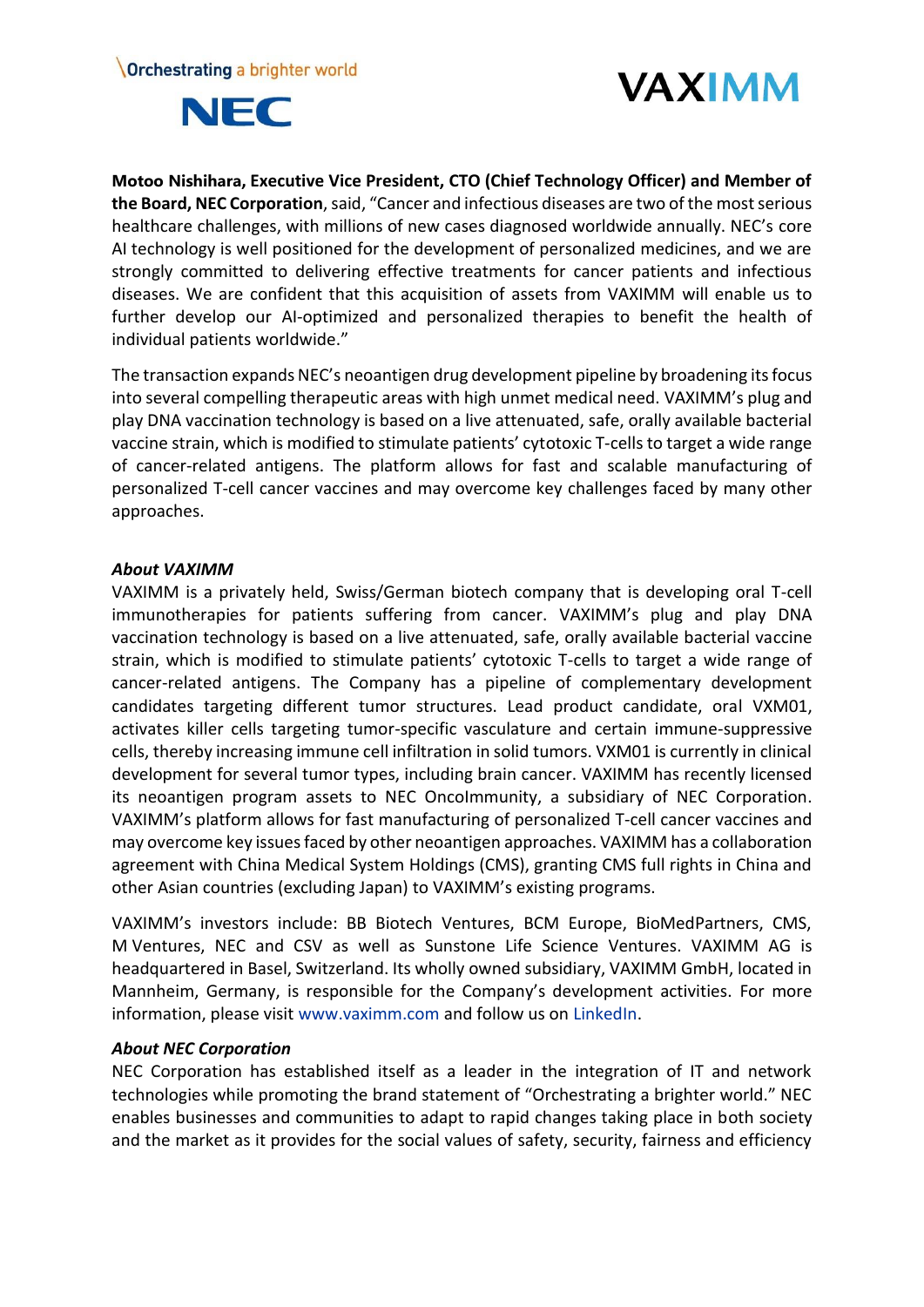



**Motoo Nishihara, Executive Vice President, CTO (Chief Technology Officer) and Member of the Board, NEC Corporation**,said, "Cancer and infectious diseases are two of the most serious healthcare challenges, with millions of new cases diagnosed worldwide annually. NEC's core AI technology is well positioned for the development of personalized medicines, and we are strongly committed to delivering effective treatments for cancer patients and infectious diseases. We are confident that this acquisition of assets from VAXIMM will enable us to further develop our AI-optimized and personalized therapies to benefit the health of individual patients worldwide."

The transaction expands NEC's neoantigen drug development pipeline by broadening its focus into several compelling therapeutic areas with high unmet medical need. VAXIMM's plug and play DNA vaccination technology is based on a live attenuated, safe, orally available bacterial vaccine strain, which is modified to stimulate patients' cytotoxic T-cells to target a wide range of cancer-related antigens. The platform allows for fast and scalable manufacturing of personalized T-cell cancer vaccines and may overcome key challenges faced by many other approaches.

# *About VAXIMM*

VAXIMM is a privately held, Swiss/German biotech company that is developing oral T-cell immunotherapies for patients suffering from cancer. VAXIMM's plug and play DNA vaccination technology is based on a live attenuated, safe, orally available bacterial vaccine strain, which is modified to stimulate patients' cytotoxic T-cells to target a wide range of cancer-related antigens. The Company has a pipeline of complementary development candidates targeting different tumor structures. Lead product candidate, oral VXM01, activates killer cells targeting tumor-specific vasculature and certain immune-suppressive cells, thereby increasing immune cell infiltration in solid tumors. VXM01 is currently in clinical development for several tumor types, including brain cancer. VAXIMM has recently licensed its neoantigen program assets to NEC OncoImmunity, a subsidiary of NEC Corporation. VAXIMM's platform allows for fast manufacturing of personalized T-cell cancer vaccines and may overcome key issues faced by other neoantigen approaches. VAXIMM has a collaboration agreement with China Medical System Holdings (CMS), granting CMS full rights in China and other Asian countries (excluding Japan) to VAXIMM's existing programs.

VAXIMM's investors include: BB Biotech Ventures, BCM Europe, BioMedPartners, CMS, M Ventures, NEC and CSV as well as Sunstone Life Science Ventures. VAXIMM AG is headquartered in Basel, Switzerland. Its wholly owned subsidiary, VAXIMM GmbH, located in Mannheim, Germany, is responsible for the Company's development activities. For more information, please visit [www.vaximm.com](http://www.vaximm.com/) and follow us on [LinkedIn.](https://www.linkedin.com/company/vaximm-ag)

# *About NEC Corporation*

NEC Corporation has established itself as a leader in the integration of IT and network technologies while promoting the brand statement of "Orchestrating a brighter world." NEC enables businesses and communities to adapt to rapid changes taking place in both society and the market as it provides for the social values of safety, security, fairness and efficiency